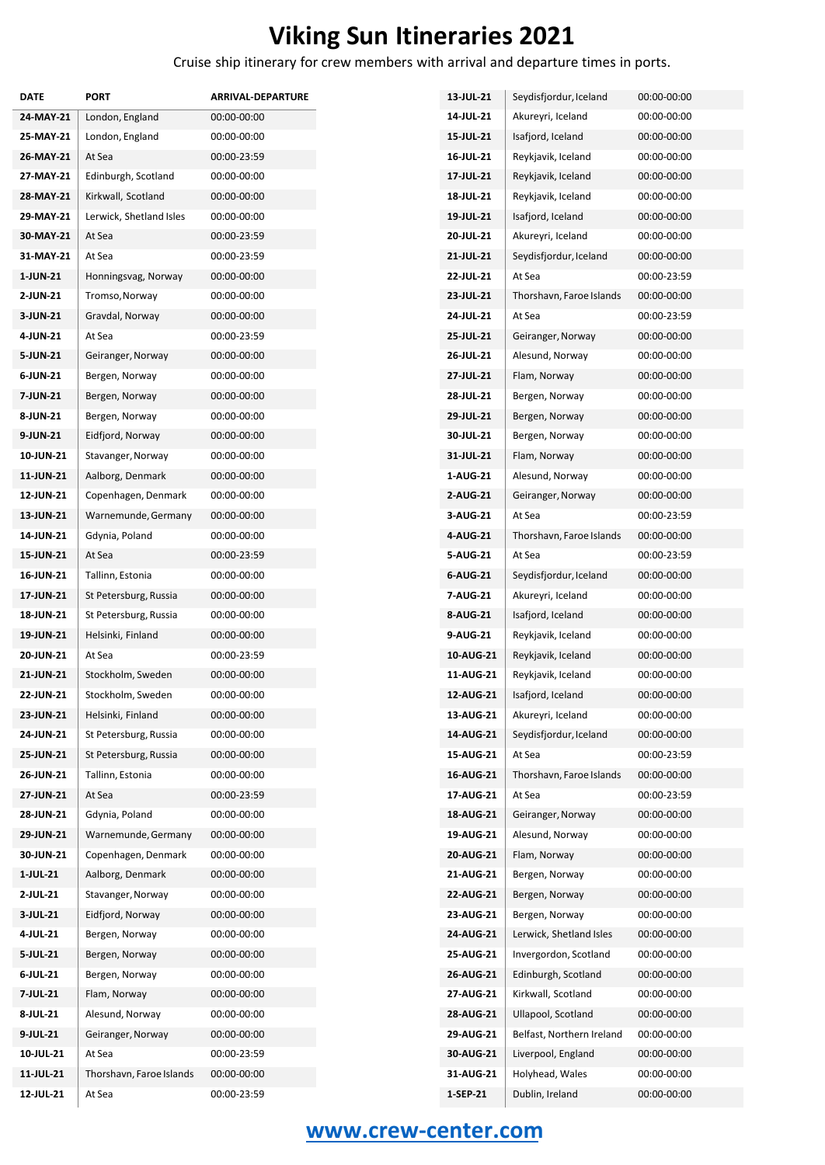## **Viking Sun Itineraries 2021**

Cruise ship itinerary for crew members with arrival and departure times in ports.

| DATE      | <b>PORT</b>              | <b>ARRIVAL-DEPARTURE</b> |
|-----------|--------------------------|--------------------------|
| 24-MAY-21 | London, England          | 00:00-00:00              |
| 25-MAY-21 | London, England          | 00:00-00:00              |
| 26-MAY-21 | At Sea                   | 00:00-23:59              |
| 27-MAY-21 | Edinburgh, Scotland      | 00:00-00:00              |
| 28-MAY-21 | Kirkwall, Scotland       | 00:00-00:00              |
| 29-MAY-21 | Lerwick, Shetland Isles  | 00:00-00:00              |
| 30-MAY-21 | At Sea                   | 00:00-23:59              |
| 31-MAY-21 | At Sea                   | 00:00-23:59              |
| 1-JUN-21  | Honningsvag, Norway      | 00:00-00:00              |
| 2-JUN-21  | Tromso, Norway           | 00:00-00:00              |
| 3-JUN-21  | Gravdal, Norway          | 00:00-00:00              |
| 4-JUN-21  | At Sea                   | 00:00-23:59              |
| 5-JUN-21  | Geiranger, Norway        | 00:00-00:00              |
| 6-JUN-21  | Bergen, Norway           | 00:00-00:00              |
| 7-JUN-21  | Bergen, Norway           | 00:00-00:00              |
| 8-JUN-21  | Bergen, Norway           | 00:00-00:00              |
| 9-JUN-21  | Eidfjord, Norway         | 00:00-00:00              |
| 10-JUN-21 | Stavanger, Norway        | 00:00-00:00              |
| 11-JUN-21 | Aalborg, Denmark         | 00:00-00:00              |
| 12-JUN-21 | Copenhagen, Denmark      | 00:00-00:00              |
| 13-JUN-21 | Warnemunde, Germany      | 00:00-00:00              |
| 14-JUN-21 | Gdynia, Poland           | 00:00-00:00              |
| 15-JUN-21 | At Sea                   | 00:00-23:59              |
| 16-JUN-21 | Tallinn, Estonia         | 00:00-00:00              |
| 17-JUN-21 | St Petersburg, Russia    | 00:00-00:00              |
| 18-JUN-21 | St Petersburg, Russia    | 00:00-00:00              |
| 19-JUN-21 | Helsinki, Finland        | 00:00-00:00              |
| 20-JUN-21 | At Sea                   | 00:00-23:59              |
| 21-JUN-21 | Stockholm, Sweden        | 00:00-00:00              |
| 22-JUN-21 | Stockholm, Sweden        | 00:00-00:00              |
| 23-JUN-21 | Helsinki, Finland        | 00:00-00:00              |
| 24-JUN-21 | St Petersburg, Russia    | 00:00-00:00              |
| 25-JUN-21 | St Petersburg, Russia    | 00:00-00:00              |
| 26-JUN-21 | Tallinn, Estonia         | 00:00-00:00              |
| 27-JUN-21 | At Sea                   | 00:00-23:59              |
| 28-JUN-21 | Gdynia, Poland           | 00:00-00:00              |
| 29-JUN-21 | Warnemunde, Germany      | 00:00-00:00              |
| 30-JUN-21 | Copenhagen, Denmark      | 00:00-00:00              |
| 1-JUL-21  | Aalborg, Denmark         | 00:00-00:00              |
| 2-JUL-21  | Stavanger, Norway        | 00:00-00:00              |
| 3-JUL-21  | Eidfjord, Norway         | 00:00-00:00              |
| 4-JUL-21  | Bergen, Norway           | 00:00-00:00              |
| 5-JUL-21  | Bergen, Norway           | 00:00-00:00              |
| 6-JUL-21  | Bergen, Norway           | 00:00-00:00              |
| 7-JUL-21  | Flam, Norway             | 00:00-00:00              |
| 8-JUL-21  | Alesund, Norway          | 00:00-00:00              |
| 9-JUL-21  | Geiranger, Norway        | 00:00-00:00              |
| 10-JUL-21 | At Sea                   | 00:00-23:59              |
| 11-JUL-21 | Thorshavn, Faroe Islands | 00:00-00:00              |
| 12-JUL-21 | At Sea                   | 00:00-23:59              |

| 13-JUL-21        | Seydisfjordur, Iceland    | 00:00-00:00   |
|------------------|---------------------------|---------------|
| 14-JUL-21        | Akureyri, Iceland         | 00:00-00:00   |
| 15-JUL-21        | Isafjord, Iceland         | 00:00-00:00   |
| 16-JUL-21        | Reykjavik, Iceland        | 00:00-00:00   |
| <b>17 JUL 21</b> | Reykjavik, Iceland        | 00:00-00:00   |
| 18-JUL-21        | Reykjavik, Iceland        | 00:00-00:00   |
| 19-JUL-21        | Isafjord, Iceland         | 00:00-00:00   |
| 20-JUL-21        | Akureyri, Iceland         | 00:00-00:00   |
| 21-JUL-21        | Seydisfjordur, Iceland    | 00:00-00:00   |
| 22-JUL-21        | At Sea                    | 00:00-23:59   |
| 23-JUL-21        | Thorshavn, Faroe Islands  | 00:00-00:00   |
| 24-JUL-21        | At Sea                    | 00:00-23:59   |
| 25-JUL-21        | Geiranger, Norway         | 00:00-00:00   |
| 26-JUL-21        | Alesund, Norway           | 00:00-00:00   |
| 27-JUL-21        | Flam, Norway              | 00:00-00:00   |
| 28-JUL-21        | Bergen, Norway            | 00:00-00:00   |
| 29-JUL-21        | Bergen, Norway            | 00:00-00:00   |
| 30-JUL-21        | Bergen, Norway            | 00:00-00:00   |
| 31-JUL-21        | Flam, Norway              | 00:00-00:00   |
| 1-AUG-21         | Alesund, Norway           | 00:00-00:00   |
| 2-AUG-21         | Geiranger, Norway         | 00:00-00:00   |
| 3-AUG-21         | At Sea                    | 00:00-23:59   |
| 4-AUG-21         | Thorshavn, Faroe Islands  | 00:00-00:00   |
| 5-AUG-21         | At Sea                    | 00:00-23:59   |
| 6-AUG-21         | Seydisfjordur, Iceland    | 00:00-00:00   |
| 7-AUG-21         | Akureyri, Iceland         | 00:00-00:00   |
| 8-AUG-21         | Isafjord, Iceland         | 00:00-00:00   |
| 9-AUG-21         | Reykjavik, Iceland        | 00:00-00:00   |
| 10-AUG-21        | Reykjavik, Iceland        | 00:00-00:00   |
| 11-AUG-21        | Reykjavik, Iceland        | 00:00-00:00   |
| <b>12-AUG-21</b> | Isafjord, Iceland         | $00:00-00:00$ |
| 13-AUG-21        | Akureyri, Iceland         | 00:00-00:00   |
| 14-AUG-21        | Seydisfjordur, Iceland    | 00:00-00:00   |
| 15-AUG-21        | At Sea                    | 00:00-23:59   |
| 16-AUG-21        | Thorshavn, Faroe Islands  | 00:00-00:00   |
| 17-AUG-21        | At Sea                    | 00:00-23:59   |
| 18-AUG-21        | Geiranger, Norway         | 00:00-00:00   |
| 19-AUG-21        | Alesund, Norway           | 00:00-00:00   |
| 20-AUG-21        | Flam, Norway              | 00:00-00:00   |
| 21-AUG-21        | Bergen, Norway            | 00:00-00:00   |
| 22-AUG-21        | Bergen, Norway            | 00:00-00:00   |
| 23-AUG-21        | Bergen, Norway            | 00:00-00:00   |
| 24-AUG-21        | Lerwick, Shetland Isles   | 00:00-00:00   |
| 25-AUG-21        | Invergordon, Scotland     | 00:00-00:00   |
| 26-AUG-21        | Edinburgh, Scotland       | 00:00-00:00   |
| 27 AUG-21        | Kirkwall, Scotland        | 00:00-00:00   |
| 28-AUG-21        | Ullapool, Scotland        | 00:00-00:00   |
| 29-AUG-21        | Belfast, Northern Ireland | 00:00-00:00   |
| 30-AUG-21        | Liverpool, England        | 00:00-00:00   |
| 31 AUG-21        | Holyhead, Wales           | 00:00-00:00   |
| 1-SEP-21         | Dublin, Ireland           | 00:00-00:00   |

## **[www.crew-center.com](file:///C:\Users\renata\Documents\Itineraries%202016\CSV%20Rasporedi\Regent\www.crew-center.com)**